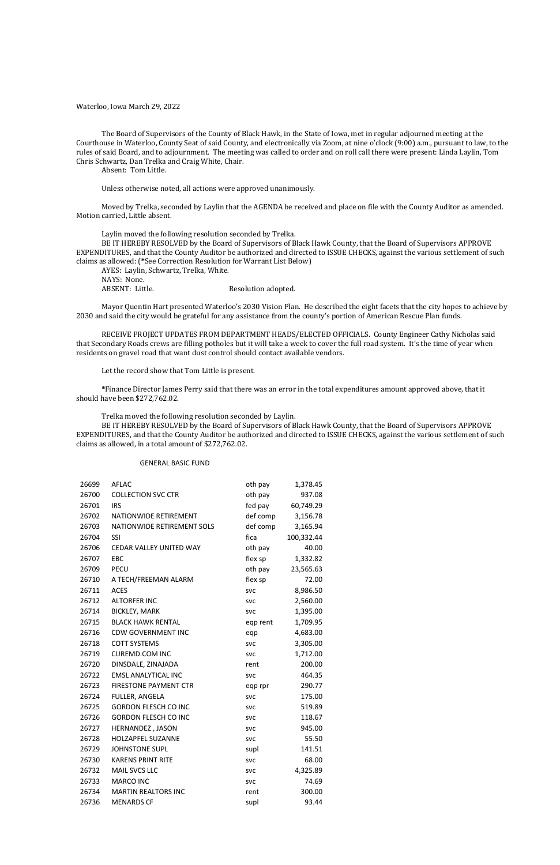Waterloo, Iowa March 29, 2022

The Board of Supervisors of the County of Black Hawk, in the State of Iowa, met in regular adjourned meeting at the Courthouse in Waterloo, County Seat of said County, and electronically via Zoom, at nine o'clock (9:00) a.m., pursuant to law, to the rules of said Board, and to adjournment. The meeting was called to order and on roll call there were present: Linda Laylin, Tom Chris Schwartz, Dan Trelka and Craig White, Chair.

Absent: Tom Little.

Unless otherwise noted, all actions were approved unanimously.

AYES: Laylin, Schwartz, Trelka, White. NAYS: None. ABSENT: Little. Resolution adopted.

Moved by Trelka, seconded by Laylin that the AGENDA be received and place on file with the County Auditor as amended. Motion carried, Little absent.

Laylin moved the following resolution seconded by Trelka.

BE IT HEREBY RESOLVED by the Board of Supervisors of Black Hawk County, that the Board of Supervisors APPROVE EXPENDITURES, and that the County Auditor be authorized and directed to ISSUE CHECKS, against the various settlement of such claims as allowed: (**\***See Correction Resolution for Warrant List Below)

Mayor Quentin Hart presented Waterloo's 2030 Vision Plan. He described the eight facets that the city hopes to achieve by 2030 and said the city would be grateful for any assistance from the county's portion of American Rescue Plan funds.

RECEIVE PROJECT UPDATES FROM DEPARTMENT HEADS/ELECTED OFFICIALS. County Engineer Cathy Nicholas said that Secondary Roads crews are filling potholes but it will take a week to cover the full road system. It's the time of year when residents on gravel road that want dust control should contact available vendors.

Let the record show that Tom Little is present.

**\***Finance Director James Perry said that there was an error in the total expenditures amount approved above, that it should have been \$272,762.02.

Trelka moved the following resolution seconded by Laylin.

BE IT HEREBY RESOLVED by the Board of Supervisors of Black Hawk County, that the Board of Supervisors APPROVE EXPENDITURES, and that the County Auditor be authorized and directed to ISSUE CHECKS, against the various settlement of such claims as allowed, in a total amount of \$272,762.02.

#### GENERAL BASIC FUND

| 26699 | <b>AFLAC</b>                   | oth pay    | 1,378.45   |
|-------|--------------------------------|------------|------------|
| 26700 | <b>COLLECTION SVC CTR</b>      | oth pay    | 937.08     |
| 26701 | <b>IRS</b>                     | fed pay    | 60,749.29  |
| 26702 | NATIONWIDE RETIREMENT          | def comp   | 3,156.78   |
| 26703 | NATIONWIDE RETIREMENT SOLS     | def comp   | 3,165.94   |
| 26704 | SSI                            | fica       | 100,332.44 |
| 26706 | <b>CEDAR VALLEY UNITED WAY</b> | oth pay    | 40.00      |
| 26707 | EBC                            | flex sp    | 1,332.82   |
| 26709 | PECU                           | oth pay    | 23,565.63  |
| 26710 | A TECH/FREEMAN ALARM           | flex sp    | 72.00      |
| 26711 | <b>ACES</b>                    | <b>SVC</b> | 8,986.50   |
| 26712 | <b>ALTORFER INC</b>            | <b>SVC</b> | 2,560.00   |
| 26714 | <b>BICKLEY, MARK</b>           | <b>SVC</b> | 1,395.00   |
| 26715 | <b>BLACK HAWK RENTAL</b>       | eqp rent   | 1,709.95   |
| 26716 | <b>CDW GOVERNMENT INC</b>      | eqp        | 4,683.00   |
| 26718 | <b>COTT SYSTEMS</b>            | <b>SVC</b> | 3,305.00   |
| 26719 | <b>CUREMD.COM INC</b>          | <b>SVC</b> | 1,712.00   |
| 26720 | DINSDALE, ZINAJADA             | rent       | 200.00     |
| 26722 | <b>EMSL ANALYTICAL INC</b>     | <b>SVC</b> | 464.35     |
| 26723 | <b>FIRESTONE PAYMENT CTR</b>   | eqp rpr    | 290.77     |
| 26724 | <b>FULLER, ANGELA</b>          | <b>SVC</b> | 175.00     |
| 26725 | <b>GORDON FLESCH CO INC</b>    | <b>SVC</b> | 519.89     |
| 26726 | <b>GORDON FLESCH CO INC</b>    | <b>SVC</b> | 118.67     |
| 26727 | HERNANDEZ, JASON               | <b>SVC</b> | 945.00     |
| 26728 | <b>HOLZAPFEL SUZANNE</b>       | <b>SVC</b> | 55.50      |
| 26729 | <b>JOHNSTONE SUPL</b>          | supl       | 141.51     |
| 26730 | <b>KARENS PRINT RITE</b>       | <b>SVC</b> | 68.00      |
| 26732 | <b>MAIL SVCS LLC</b>           | <b>SVC</b> | 4,325.89   |
| 26733 | <b>MARCO INC</b>               | <b>SVC</b> | 74.69      |
| 26734 | <b>MARTIN REALTORS INC</b>     | rent       | 300.00     |
| 26736 | <b>MENARDS CF</b>              | supl       | 93.44      |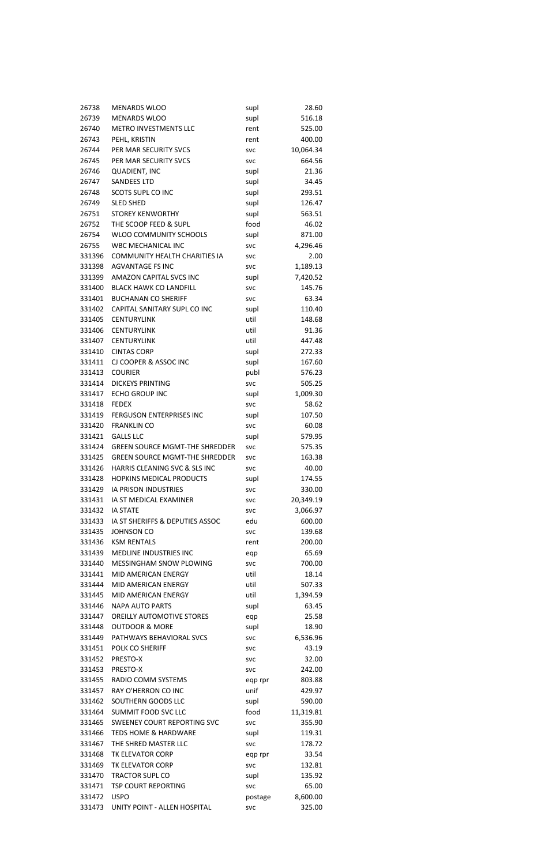| 26738  | <b>MENARDS WLOO</b>                   | supl       | 28.60     |
|--------|---------------------------------------|------------|-----------|
| 26739  | <b>MENARDS WLOO</b>                   | supl       | 516.18    |
| 26740  | METRO INVESTMENTS LLC                 | rent       | 525.00    |
|        |                                       |            |           |
| 26743  | PEHL, KRISTIN                         | rent       | 400.00    |
| 26744  | PER MAR SECURITY SVCS                 | <b>SVC</b> | 10,064.34 |
| 26745  | PER MAR SECURITY SVCS                 | <b>SVC</b> | 664.56    |
| 26746  | <b>QUADIENT, INC</b>                  | supl       | 21.36     |
| 26747  | <b>SANDEES LTD</b>                    | supl       | 34.45     |
| 26748  | <b>SCOTS SUPL CO INC</b>              | supl       | 293.51    |
|        |                                       |            |           |
| 26749  | <b>SLED SHED</b>                      | supl       | 126.47    |
| 26751  | <b>STOREY KENWORTHY</b>               | supl       | 563.51    |
| 26752  | THE SCOOP FEED & SUPL                 | food       | 46.02     |
| 26754  | WLOO COMMUNITY SCHOOLS                | supl       | 871.00    |
| 26755  | <b>WBC MECHANICAL INC</b>             | <b>SVC</b> | 4,296.46  |
| 331396 | <b>COMMUNITY HEALTH CHARITIES IA</b>  | <b>SVC</b> | 2.00      |
| 331398 | <b>AGVANTAGE FS INC</b>               | <b>SVC</b> | 1,189.13  |
|        |                                       |            |           |
| 331399 | AMAZON CAPITAL SVCS INC               | supl       | 7,420.52  |
| 331400 | <b>BLACK HAWK CO LANDFILL</b>         | <b>SVC</b> | 145.76    |
| 331401 | <b>BUCHANAN CO SHERIFF</b>            | <b>SVC</b> | 63.34     |
| 331402 | CAPITAL SANITARY SUPL CO INC          | supl       | 110.40    |
| 331405 | <b>CENTURYLINK</b>                    | util       | 148.68    |
| 331406 | <b>CENTURYLINK</b>                    | util       | 91.36     |
| 331407 | <b>CENTURYLINK</b>                    | util       | 447.48    |
| 331410 | <b>CINTAS CORP</b>                    | supl       | 272.33    |
| 331411 | CJ COOPER & ASSOC INC                 | supl       | 167.60    |
|        |                                       |            |           |
| 331413 | <b>COURIER</b>                        | publ       | 576.23    |
| 331414 | <b>DICKEYS PRINTING</b>               | <b>SVC</b> | 505.25    |
| 331417 | <b>ECHO GROUP INC</b>                 | supl       | 1,009.30  |
| 331418 | <b>FEDEX</b>                          | <b>SVC</b> | 58.62     |
|        | 331419 FERGUSON ENTERPRISES INC       | supl       | 107.50    |
| 331420 | <b>FRANKLIN CO</b>                    | <b>SVC</b> | 60.08     |
| 331421 | <b>GALLS LLC</b>                      | supl       | 579.95    |
| 331424 | <b>GREEN SOURCE MGMT-THE SHREDDER</b> |            | 575.35    |
|        |                                       | <b>SVC</b> |           |
| 331425 | <b>GREEN SOURCE MGMT-THE SHREDDER</b> | <b>SVC</b> | 163.38    |
| 331426 | HARRIS CLEANING SVC & SLS INC         | <b>SVC</b> | 40.00     |
| 331428 | HOPKINS MEDICAL PRODUCTS              | supl       | 174.55    |
| 331429 | IA PRISON INDUSTRIES                  | <b>SVC</b> | 330.00    |
| 331431 | IA ST MEDICAL EXAMINER                | <b>SVC</b> | 20,349.19 |
| 331432 | <b>IA STATE</b>                       | <b>SVC</b> | 3,066.97  |
| 331433 | IA ST SHERIFFS & DEPUTIES ASSOC       | edu        | 600.00    |
| 331435 | <b>JOHNSON CO</b>                     |            | 139.68    |
|        |                                       | <b>SVC</b> |           |
| 331436 | <b>KSM RENTALS</b>                    | rent       | 200.00    |
| 331439 | MEDLINE INDUSTRIES INC                | eqp        | 65.69     |
| 331440 | MESSINGHAM SNOW PLOWING               | <b>SVC</b> | 700.00    |
| 331441 | MID AMERICAN ENERGY                   | util       | 18.14     |
| 331444 | MID AMERICAN ENERGY                   | util       | 507.33    |
| 331445 | MID AMERICAN ENERGY                   | util       | 1,394.59  |
| 331446 | <b>NAPA AUTO PARTS</b>                | supl       | 63.45     |
|        |                                       |            |           |
| 331447 | <b>OREILLY AUTOMOTIVE STORES</b>      | eqp        | 25.58     |
| 331448 | <b>OUTDOOR &amp; MORE</b>             | supl       | 18.90     |
| 331449 | PATHWAYS BEHAVIORAL SVCS              | <b>SVC</b> | 6,536.96  |
| 331451 | POLK CO SHERIFF                       | <b>SVC</b> | 43.19     |
| 331452 | PRESTO-X                              | <b>SVC</b> | 32.00     |
| 331453 | PRESTO-X                              | <b>SVC</b> | 242.00    |
| 331455 | RADIO COMM SYSTEMS                    | eqp rpr    | 803.88    |
| 331457 | RAY O'HERRON CO INC                   | unif       | 429.97    |
| 331462 | SOUTHERN GOODS LLC                    |            |           |
|        |                                       | supl       | 590.00    |
| 331464 | SUMMIT FOOD SVC LLC                   | food       | 11,319.81 |
| 331465 | <b>SWEENEY COURT REPORTING SVC</b>    | <b>SVC</b> | 355.90    |
|        | 331466 TEDS HOME & HARDWARE           | supl       | 119.31    |
|        | 331467 THE SHRED MASTER LLC           | <b>SVC</b> | 178.72    |
| 331468 | TK ELEVATOR CORP                      | eqp rpr    | 33.54     |
| 331469 | TK ELEVATOR CORP                      | <b>SVC</b> | 132.81    |
| 331470 | <b>TRACTOR SUPL CO</b>                | supl       | 135.92    |
| 331471 | <b>TSP COURT REPORTING</b>            | <b>SVC</b> | 65.00     |
| 331472 | <b>USPO</b>                           | postage    | 8,600.00  |
|        |                                       |            |           |
| 331473 | UNITY POINT - ALLEN HOSPITAL          | <b>SVC</b> | 325.00    |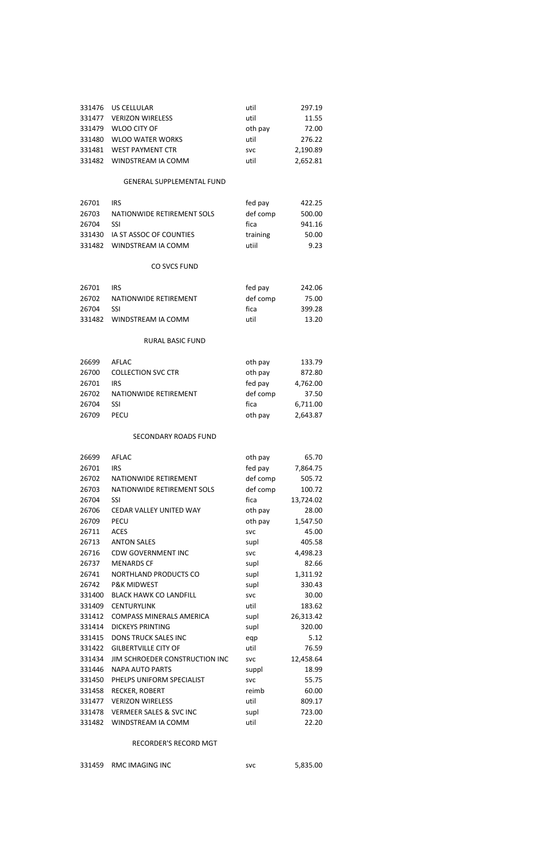| 331476 US CELLULAR        | util       | 297.19   |
|---------------------------|------------|----------|
| 331477 VERIZON WIRELESS   | util       | 11.55    |
| 331479 WLOO CITY OF       | oth pay    | 72.00    |
| 331480 WLOO WATER WORKS   | util       | 276.22   |
| 331481 WEST PAYMENT CTR   | <b>SVC</b> | 2.190.89 |
| 331482 WINDSTREAM IA COMM | util       | 2.652.81 |

# GENERAL SUPPLEMENTAL FUND

| 26701 | IRS.                           | fed pay  | 422.25 |
|-------|--------------------------------|----------|--------|
| 26703 | NATIONWIDE RETIREMENT SOLS     | def comp | 500.00 |
| 26704 | SSL                            | fica     | 941.16 |
|       | 331430 IA ST ASSOC OF COUNTIES | training | 50.00  |
|       | 331482 WINDSTREAM IA COMM      | utiil    | 9.23   |

# CO SVCS FUND

| 26701 | <b>IRS</b>                | fed pay  | 242.06 |
|-------|---------------------------|----------|--------|
| 26702 | NATIONWIDE RETIREMENT     | def comp | 75.00  |
| 26704 | -SSI.                     | fica     | 399.28 |
|       | 331482 WINDSTREAM IA COMM | util     | 13.20  |

# RURAL BASIC FUND

| 26699 | AFLAC                     | oth pay  | 133.79   |
|-------|---------------------------|----------|----------|
| 26700 | <b>COLLECTION SVC CTR</b> | oth pay  | 872.80   |
| 26701 | IRS.                      | fed pay  | 4,762.00 |
| 26702 | NATIONWIDE RETIREMENT     | def comp | 37.50    |
| 26704 | SSI                       | fica     | 6,711.00 |
| 26709 | <b>PECU</b>               | oth pay  | 2,643.87 |
|       |                           |          |          |

# SECONDARY ROADS FUND

| 26699  | AFLAC                              | oth pay    | 65.70     |
|--------|------------------------------------|------------|-----------|
| 26701  | <b>IRS</b>                         | fed pay    | 7,864.75  |
| 26702  | NATIONWIDE RETIREMENT              | def comp   | 505.72    |
| 26703  | NATIONWIDE RETIREMENT SOLS         | def comp   | 100.72    |
| 26704  | SSI                                | fica       | 13,724.02 |
| 26706  | <b>CEDAR VALLEY UNITED WAY</b>     | oth pay    | 28.00     |
| 26709  | <b>PECU</b>                        | oth pay    | 1,547.50  |
| 26711  | <b>ACES</b>                        | <b>SVC</b> | 45.00     |
| 26713  | <b>ANTON SALES</b>                 | supl       | 405.58    |
| 26716  | <b>CDW GOVERNMENT INC</b>          | <b>SVC</b> | 4,498.23  |
| 26737  | <b>MENARDS CF</b>                  | supl       | 82.66     |
| 26741  | NORTHLAND PRODUCTS CO              | supl       | 1,311.92  |
| 26742  | <b>P&amp;K MIDWEST</b>             | supl       | 330.43    |
| 331400 | <b>BLACK HAWK CO LANDFILL</b>      | <b>SVC</b> | 30.00     |
| 331409 | <b>CENTURYLINK</b>                 | util       | 183.62    |
| 331412 | COMPASS MINERALS AMERICA           | supl       | 26,313.42 |
| 331414 | <b>DICKEYS PRINTING</b>            | supl       | 320.00    |
| 331415 | <b>DONS TRUCK SALES INC</b>        | eqp        | 5.12      |
| 331422 | <b>GILBERTVILLE CITY OF</b>        | util       | 76.59     |
| 331434 | JIM SCHROEDER CONSTRUCTION INC     | <b>SVC</b> | 12,458.64 |
| 331446 | <b>NAPA AUTO PARTS</b>             | suppl      | 18.99     |
| 331450 | PHELPS UNIFORM SPECIALIST          | <b>SVC</b> | 55.75     |
| 331458 | RECKER, ROBERT                     | reimb      | 60.00     |
| 331477 | <b>VERIZON WIRELESS</b>            | util       | 809.17    |
| 331478 | <b>VERMEER SALES &amp; SVC INC</b> | supl       | 723.00    |
| 331482 | WINDSTREAM IA COMM                 | util       | 22.20     |

# RECORDER'S RECORD MGT

|  | 331459 RMC IMAGING INC | svc | 5,835.00 |
|--|------------------------|-----|----------|
|--|------------------------|-----|----------|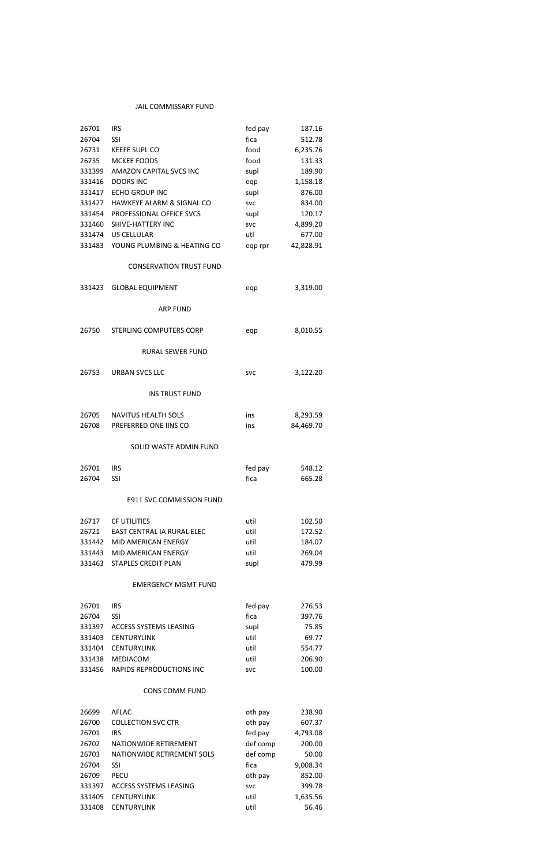# JAIL COMMISSARY FUND

| 26701<br>26704<br>26731<br>26735<br>331399<br>331416<br>331417<br>331427<br>331454 | <b>IRS</b><br><b>SSI</b><br><b>KEEFE SUPL CO</b><br>MCKEE FOODS<br>AMAZON CAPITAL SVCS INC<br><b>DOORS INC</b><br><b>ECHO GROUP INC</b><br>HAWKEYE ALARM & SIGNAL CO<br>PROFESSIONAL OFFICE SVCS | fed pay<br>fica<br>food<br>food<br>supl<br>eqp<br>supl<br><b>SVC</b><br>supl | 187.16<br>512.78<br>6,235.76<br>131.33<br>189.90<br>1,158.18<br>876.00<br>834.00<br>120.17 |
|------------------------------------------------------------------------------------|--------------------------------------------------------------------------------------------------------------------------------------------------------------------------------------------------|------------------------------------------------------------------------------|--------------------------------------------------------------------------------------------|
| 331460                                                                             | SHIVE-HATTERY INC                                                                                                                                                                                | <b>SVC</b>                                                                   | 4,899.20                                                                                   |
| 331474                                                                             | US CELLULAR                                                                                                                                                                                      | utl                                                                          | 677.00                                                                                     |
| 331483                                                                             | YOUNG PLUMBING & HEATING CO                                                                                                                                                                      | eqp rpr                                                                      | 42,828.91                                                                                  |
|                                                                                    | <b>CONSERVATION TRUST FUND</b>                                                                                                                                                                   |                                                                              |                                                                                            |
| 331423                                                                             | <b>GLOBAL EQUIPMENT</b>                                                                                                                                                                          | eqp                                                                          | 3,319.00                                                                                   |
|                                                                                    | <b>ARP FUND</b>                                                                                                                                                                                  |                                                                              |                                                                                            |
| 26750                                                                              | STERLING COMPUTERS CORP                                                                                                                                                                          | eqp                                                                          | 8,010.55                                                                                   |
|                                                                                    | <b>RURAL SEWER FUND</b>                                                                                                                                                                          |                                                                              |                                                                                            |
| 26753                                                                              | <b>URBAN SVCS LLC</b>                                                                                                                                                                            | <b>SVC</b>                                                                   | 3,122.20                                                                                   |
|                                                                                    | <b>INS TRUST FUND</b>                                                                                                                                                                            |                                                                              |                                                                                            |
| 26705                                                                              | <b>NAVITUS HEALTH SOLS</b>                                                                                                                                                                       | ins                                                                          | 8,293.59                                                                                   |
| 26708                                                                              | PREFERRED ONE IINS CO                                                                                                                                                                            | ins                                                                          | 84,469.70                                                                                  |
|                                                                                    | SOLID WASTE ADMIN FUND                                                                                                                                                                           |                                                                              |                                                                                            |
| 26701                                                                              | <b>IRS</b>                                                                                                                                                                                       | fed pay                                                                      | 548.12                                                                                     |
| 26704                                                                              | SSI                                                                                                                                                                                              | fica                                                                         | 665.28                                                                                     |
|                                                                                    |                                                                                                                                                                                                  |                                                                              |                                                                                            |
|                                                                                    | <b>E911 SVC COMMISSION FUND</b>                                                                                                                                                                  |                                                                              |                                                                                            |
| 26717                                                                              | <b>CF UTILITIES</b>                                                                                                                                                                              | util                                                                         | 102.50                                                                                     |
| 26721                                                                              | EAST CENTRAL IA RURAL ELEC                                                                                                                                                                       | util                                                                         | 172.52                                                                                     |
| 331442                                                                             | <b>MID AMERICAN ENERGY</b>                                                                                                                                                                       | util                                                                         | 184.07                                                                                     |
| 331443                                                                             | MID AMERICAN ENERGY                                                                                                                                                                              | util                                                                         | 269.04                                                                                     |
| 331463                                                                             | <b>STAPLES CREDIT PLAN</b>                                                                                                                                                                       | supl                                                                         | 479.99                                                                                     |
|                                                                                    | <b>EMERGENCY MGMT FUND</b>                                                                                                                                                                       |                                                                              |                                                                                            |

| 26701  | IRS.                     | fed pay    | 276.53 |
|--------|--------------------------|------------|--------|
| 26704  | <b>SSL</b>               | fica       | 397.76 |
| 331397 | ACCESS SYSTEMS LEASING   | supl       | 75.85  |
| 331403 | CENTURYLINK              | util       | 69.77  |
| 331404 | CENTURYLINK              | util       | 554.77 |
| 331438 | MEDIACOM                 | util       | 206.90 |
| 331456 | RAPIDS REPRODUCTIONS INC | <b>SVC</b> | 100.00 |

# CONS COMM FUND

| 26699  | AFLAC                         | oth pay    | 238.90   |
|--------|-------------------------------|------------|----------|
| 26700  | <b>COLLECTION SVC CTR</b>     | oth pay    | 607.37   |
| 26701  | IRS                           | fed pay    | 4,793.08 |
| 26702  | NATIONWIDE RETIREMENT         | def comp   | 200.00   |
| 26703  | NATIONWIDE RETIREMENT SOLS    | def comp   | 50.00    |
| 26704  | <b>SSI</b>                    | fica       | 9,008.34 |
| 26709  | <b>PECU</b>                   | oth pay    | 852.00   |
| 331397 | <b>ACCESS SYSTEMS LEASING</b> | <b>SVC</b> | 399.78   |
| 331405 | <b>CENTURYLINK</b>            | util       | 1,635.56 |
| 331408 | <b>CENTURYLINK</b>            | util       | 56.46    |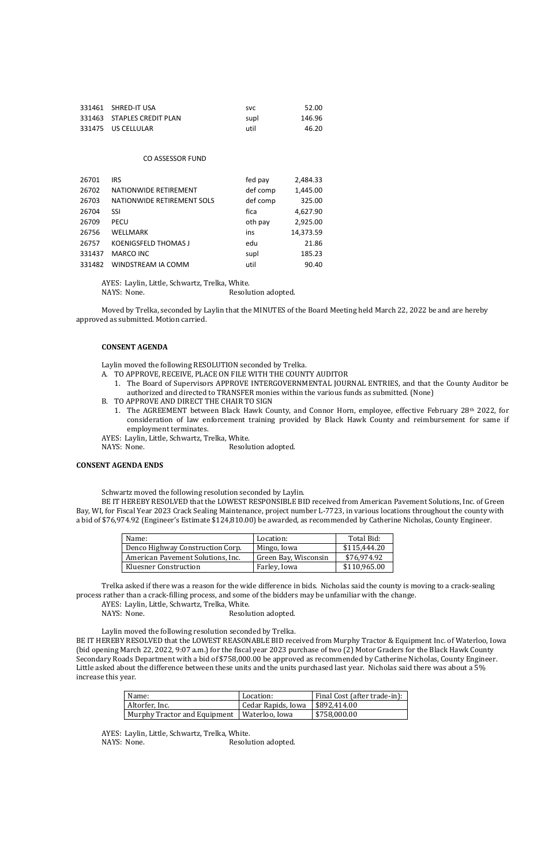| 331461 SHRED-IT USA        | <b>SVC</b> | 52.00  |
|----------------------------|------------|--------|
| 331463 STAPLES CREDIT PLAN | supl       | 146.96 |
| 331475 US CELLULAR         | util       | 46.20  |

#### CO ASSESSOR FUND

| 26701  | <b>IRS</b>                  | fed pay  | 2,484.33  |
|--------|-----------------------------|----------|-----------|
| 26702  | NATIONWIDE RETIREMENT       | def comp | 1,445.00  |
| 26703  | NATIONWIDE RETIREMENT SOLS  | def comp | 325.00    |
| 26704  | SSI                         | fica     | 4,627.90  |
| 26709  | <b>PECU</b>                 | oth pay  | 2,925.00  |
| 26756  | WELLMARK                    | ins      | 14,373.59 |
| 26757  | <b>KOENIGSFELD THOMAS J</b> | edu      | 21.86     |
| 331437 | MARCO INC                   | supl     | 185.23    |
| 331482 | WINDSTREAM IA COMM          | util     | 90.40     |

- A. TO APPROVE, RECEIVE, PLACE ON FILE WITH THE COUNTY AUDITOR
	- 1. The Board of Supervisors APPROVE INTERGOVERNMENTAL JOURNAL ENTRIES, and that the County Auditor be authorized and directed to TRANSFER monies within the various funds as submitted. (None)
- B. TO APPROVE AND DIRECT THE CHAIR TO SIGN
	- 1. The AGREEMENT between Black Hawk County, and Connor Horn, employee, effective February 28<sup>th</sup> 2022, for consideration of law enforcement training provided by Black Hawk County and reimbursement for same if employment terminates.
- AYES: Laylin, Little, Schwartz, Trelka, White.
- NAYS: None. Resolution adopted.

AYES: Laylin, Little, Schwartz, Trelka, White.

NAYS: None. Resolution adopted.

Moved by Trelka, seconded by Laylin that the MINUTES of the Board Meeting held March 22, 2022 be and are hereby approved as submitted. Motion carried.

#### **CONSENT AGENDA**

Laylin moved the following RESOLUTION seconded by Trelka.

#### **CONSENT AGENDA ENDS**

Schwartz moved the following resolution seconded by Laylin.

BE IT HEREBY RESOLVED that the LOWEST RESPONSIBLE BID received from American Pavement Solutions, Inc. of Green Bay, WI, for Fiscal Year 2023 Crack Sealing Maintenance, project number L-7723, in various locations throughout the county with a bid of \$76,974.92 (Engineer's Estimate \$124,810.00) be awarded, as recommended by Catherine Nicholas, County Engineer.

| Name:                             | Location:            | Total Bid:   |
|-----------------------------------|----------------------|--------------|
| Denco Highway Construction Corp.  | Mingo, Iowa          | \$115,444.20 |
| American Pavement Solutions, Inc. | Green Bay, Wisconsin | \$76,974.92  |
| <b>Kluesner Construction</b>      | Farley, Iowa         | \$110,965.00 |

Trelka asked if there was a reason for the wide difference in bids. Nicholas said the county is moving to a crack-sealing process rather than a crack-filling process, and some of the bidders may be unfamiliar with the change.

|  |  |  | AYES: Laylin, Little, Schwartz, Trelka, White. |  |  |
|--|--|--|------------------------------------------------|--|--|
|--|--|--|------------------------------------------------|--|--|

NAYS: None. Resolution adopted.

Laylin moved the following resolution seconded by Trelka.

BE IT HEREBY RESOLVED that the LOWEST REASONABLE BID received from Murphy Tractor & Equipment Inc. of Waterloo, Iowa (bid opening March 22, 2022, 9:07 a.m.) for the fiscal year 2023 purchase of two (2) Motor Graders for the Black Hawk County Secondary Roads Department with a bid of \$758,000.00 be approved as recommended by Catherine Nicholas, County Engineer. Little asked about the difference between these units and the units purchased last year. Nicholas said there was about a 5% increase this year.

| Name:                                         | Location:                          | Final Cost (after trade-in): |
|-----------------------------------------------|------------------------------------|------------------------------|
| Altorfer, Inc.                                | Cedar Rapids, Iowa   $$892,414.00$ |                              |
| Murphy Tractor and Equipment   Waterloo, Iowa |                                    | $\frac{1}{2}$ \$758,000.00   |

AYES: Laylin, Little, Schwartz, Trelka, White.

NAYS: None. Resolution adopted.